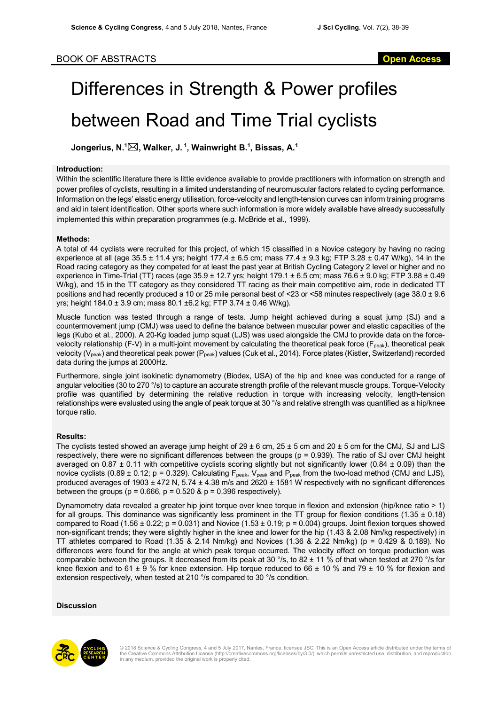# Differences in Strength & Power profiles between Road and Time Trial cyclists

**Jongerius, N. 1** \***, Walker, J. <sup>1</sup> , Wainwright B. 1 , Bissas, A. 1**

## **Introduction:**

Within the scientific literature there is little evidence available to provide practitioners with information on strength and power profiles of cyclists, resulting in a limited understanding of neuromuscular factors related to cycling performance. Information on the legs' elastic energy utilisation, force-velocity and length-tension curves can inform training programs and aid in talent identification. Other sports where such information is more widely available have already successfully implemented this within preparation programmes (e.g. McBride et al., 1999).

# **Methods:**

A total of 44 cyclists were recruited for this project, of which 15 classified in a Novice category by having no racing experience at all (age  $35.5 \pm 11.4$  yrs; height 177.4  $\pm$  6.5 cm; mass 77.4  $\pm$  9.3 kg; FTP 3.28  $\pm$  0.47 W/kg), 14 in the Road racing category as they competed for at least the past year at British Cycling Category 2 level or higher and no experience in Time-Trial (TT) races (age  $35.9 \pm 12.7$  yrs; height 179.1  $\pm 6.5$  cm; mass 76.6  $\pm$  9.0 kg; FTP 3.88  $\pm$  0.49 W/kg), and 15 in the TT category as they considered TT racing as their main competitive aim, rode in dedicated TT positions and had recently produced a 10 or 25 mile personal best of <23 or <58 minutes respectively (age 38.0 ± 9.6 yrs; height 184.0 ± 3.9 cm; mass 80.1 ±6.2 kg; FTP 3.74 ± 0.46 W/kg).

Muscle function was tested through a range of tests. Jump height achieved during a squat jump (SJ) and a countermovement jump (CMJ) was used to define the balance between muscular power and elastic capacities of the legs (Kubo et al., 2000). A 20-Kg loaded jump squat (LJS) was used alongside the CMJ to provide data on the forcevelocity relationship (F-V) in a multi-joint movement by calculating the theoretical peak force ( $F_{peak}$ ), theoretical peak velocity (V<sub>peak</sub>) and theoretical peak power (P<sub>peak</sub>) values (Cuk et al., 2014). Force plates (Kistler, Switzerland) recorded data during the jumps at 2000Hz.

Furthermore, single joint isokinetic dynamometry (Biodex, USA) of the hip and knee was conducted for a range of angular velocities (30 to 270 °/s) to capture an accurate strength profile of the relevant muscle groups. Torque-Velocity profile was quantified by determining the relative reduction in torque with increasing velocity, length-tension relationships were evaluated using the angle of peak torque at 30 °/s and relative strength was quantified as a hip/knee torque ratio.

# **Results:**

The cyclists tested showed an average jump height of  $29 \pm 6$  cm,  $25 \pm 5$  cm and  $20 \pm 5$  cm for the CMJ, SJ and LJS respectively, there were no significant differences between the groups (p = 0.939). The ratio of SJ over CMJ height averaged on  $0.87 \pm 0.11$  with competitive cyclists scoring slightly but not significantly lower (0.84  $\pm$  0.09) than the novice cyclists (0.89  $\pm$  0.12; p = 0.329). Calculating  $F_{peak}$ , V<sub>peak</sub> and  $P_{peak}$  from the two-load method (CMJ and LJS), produced averages of 1903 ± 472 N, 5.74 ± 4.38 m/s and 2620 ± 1581 W respectively with no significant differences between the groups ( $p = 0.666$ ,  $p = 0.520$  &  $p = 0.396$  respectively).

Dynamometry data revealed a greater hip joint torque over knee torque in flexion and extension (hip/knee ratio > 1) for all groups. This dominance was significantly less prominent in the TT group for flexion conditions (1.35  $\pm$  0.18) compared to Road (1.56  $\pm$  0.22; p = 0.031) and Novice (1.53  $\pm$  0.19; p = 0.004) groups. Joint flexion torques showed non-significant trends; they were slightly higher in the knee and lower for the hip (1.43 & 2.08 Nm/kg respectively) in TT athletes compared to Road  $(1.35 \& 2.14 \text{ Nm/kg})$  and Novices  $(1.36 \& 2.22 \text{ Nm/kg})$  (p = 0.429 & 0.189). No differences were found for the angle at which peak torque occurred. The velocity effect on torque production was comparable between the groups. It decreased from its peak at 30  $\degree$ /s, to 82  $\pm$  11 % of that when tested at 270  $\degree$ /s for knee flexion and to 61  $\pm$  9 % for knee extension. Hip torque reduced to 66  $\pm$  10 % and 79  $\pm$  10 % for flexion and extension respectively, when tested at 210 °/s compared to 30 °/s condition.

### **Discussion**



© 2018 Science & Cycling Congress, 4 and 5 July 2017, Nantes, France. licensee JSC. This is an Open Access article distributed under the terms of<br>the Creative Commons Attribution License (http://creativecommons.org/license in any medium, provided the original work is properly cited.